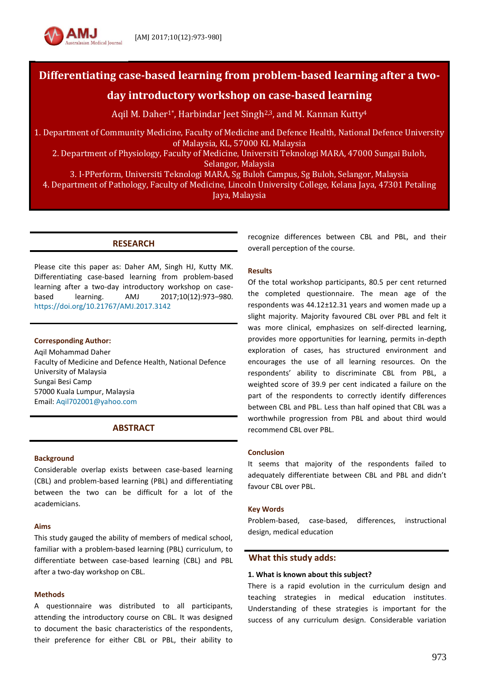

# **Differentiating case-based learning from problem-based learning after a two-**

# **day introductory workshop on case-based learning**

Aqil M. Daher<sup>1\*</sup>, Harbindar Jeet Singh<sup>2,3</sup>, and M. Kannan Kutty<sup>4</sup>

1. Department of Community Medicine, Faculty of Medicine and Defence Health, National Defence University of Malaysia, KL, 57000 KL Malaysia

2. Department of Physiology, Faculty of Medicine, Universiti Teknologi MARA, 47000 Sungai Buloh, Selangor, Malaysia

3. I-PPerform, Universiti Teknologi MARA, Sg Buloh Campus, Sg Buloh, Selangor, Malaysia 4. Department of Pathology, Faculty of Medicine, Lincoln University College, Kelana Jaya, 47301 Petaling Jaya, Malaysia

# **RESEARCH**

Please cite this paper as: Daher AM, Singh HJ, Kutty MK. Differentiating case-based learning from problem-based learning after a two-day introductory workshop on casebased learning. AMJ 2017;10(12):973–980. <https://doi.org/10.21767/AMJ.2017.3142>

### **Corresponding Author:**

Aqil Mohammad Daher Faculty of Medicine and Defence Health, National Defence University of Malaysia Sungai Besi Camp 57000 Kuala Lumpur, Malaysia Email: [Aqil702001@yahoo.com](mailto:Aqil702001@yahoo.com)

# **ABSTRACT**

### **Background**

Considerable overlap exists between case-based learning (CBL) and problem-based learning (PBL) and differentiating between the two can be difficult for a lot of the academicians.

#### **Aims**

This study gauged the ability of members of medical school, familiar with a problem-based learning (PBL) curriculum, to differentiate between case-based learning (CBL) and PBL after a two-day workshop on CBL.

### **Methods**

A questionnaire was distributed to all participants, attending the introductory course on CBL. It was designed to document the basic characteristics of the respondents, their preference for either CBL or PBL, their ability to recognize differences between CBL and PBL, and their overall perception of the course.

### **Results**

Of the total workshop participants, 80.5 per cent returned the completed questionnaire. The mean age of the respondents was 44.12±12.31 years and women made up a slight majority. Majority favoured CBL over PBL and felt it was more clinical, emphasizes on self-directed learning, provides more opportunities for learning, permits in-depth exploration of cases, has structured environment and encourages the use of all learning resources. On the respondents' ability to discriminate CBL from PBL, a weighted score of 39.9 per cent indicated a failure on the part of the respondents to correctly identify differences between CBL and PBL. Less than half opined that CBL was a worthwhile progression from PBL and about third would recommend CBL over PBL.

#### **Conclusion**

It seems that majority of the respondents failed to adequately differentiate between CBL and PBL and didn't favour CBL over PBL.

### **Key Words**

Problem-based, case-based, differences, instructional design, medical education

### **What this study adds:**

#### **1. What is known about this subject?**

There is a rapid evolution in the curriculum design and teaching strategies in medical education institutes. Understanding of these strategies is important for the success of any curriculum design. Considerable variation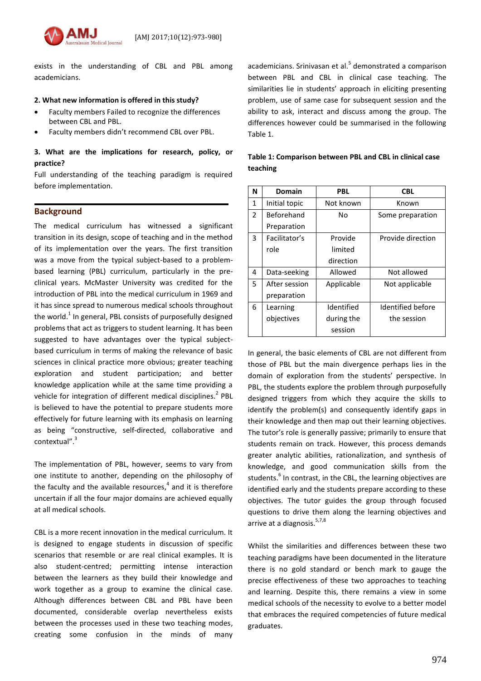

exists in the understanding of CBL and PBL among academicians.

### **2. What new information is offered in this study?**

- Faculty members Failed to recognize the differences between CBL and PBL.
- Faculty members didn't recommend CBL over PBL.

# **3. What are the implications for research, policy, or practice?**

Full understanding of the teaching paradigm is required before implementation.

# **Background**

The medical curriculum has witnessed a significant transition in its design, scope of teaching and in the method of its implementation over the years. The first transition was a move from the typical subject-based to a problembased learning (PBL) curriculum, particularly in the preclinical years. McMaster University was credited for the introduction of PBL into the medical curriculum in 1969 and it has since spread to numerous medical schools throughout the world. $^{1}$  In general, PBL consists of purposefully designed problems that act as triggers to student learning. It has been suggested to have advantages over the typical subjectbased curriculum in terms of making the relevance of basic sciences in clinical practice more obvious; greater teaching exploration and student participation; and better knowledge application while at the same time providing a vehicle for integration of different medical disciplines.<sup>2</sup> PBL is believed to have the potential to prepare students more effectively for future learning with its emphasis on learning as being "constructive, self-directed, collaborative and contextual".<sup>3</sup>

The implementation of PBL, however, seems to vary from one institute to another, depending on the philosophy of the faculty and the available resources,<sup>4</sup> and it is therefore uncertain if all the four major domains are achieved equally at all medical schools.

CBL is a more recent innovation in the medical curriculum. It is designed to engage students in discussion of specific scenarios that resemble or are real clinical examples. It is also student-centred; permitting intense interaction between the learners as they build their knowledge and work together as a group to examine the clinical case. Although differences between CBL and PBL have been documented, considerable overlap nevertheless exists between the processes used in these two teaching modes, creating some confusion in the minds of many

academicians. Srinivasan et al.<sup>5</sup> demonstrated a comparison between PBL and CBL in clinical case teaching. The similarities lie in students' approach in eliciting presenting problem, use of same case for subsequent session and the ability to ask, interact and discuss among the group. The differences however could be summarised in the following Table 1.

| N              | Domain        | <b>PBL</b> | <b>CBL</b>        |
|----------------|---------------|------------|-------------------|
| $\mathbf{1}$   | Initial topic | Not known  | Known             |
| $\overline{2}$ | Beforehand    | N٥         | Some preparation  |
|                | Preparation   |            |                   |
| 3              | Facilitator's | Provide    | Provide direction |
|                | role          | limited    |                   |
|                |               | direction  |                   |
| 4              | Data-seeking  | Allowed    | Not allowed       |
| 5.             | After session | Applicable | Not applicable    |
|                | preparation   |            |                   |
| 6              | Learning      | Identified | Identified before |
|                | objectives    | during the | the session       |
|                |               | session    |                   |

| Table 1: Comparison between PBL and CBL in clinical case |
|----------------------------------------------------------|
| teaching                                                 |

In general, the basic elements of CBL are not different from those of PBL but the main divergence perhaps lies in the domain of exploration from the students' perspective. In PBL, the students explore the problem through purposefully designed triggers from which they acquire the skills to identify the problem(s) and consequently identify gaps in their knowledge and then map out their learning objectives. The tutor's role is generally passive; primarily to ensure that students remain on track. However, this process demands greater analytic abilities, rationalization, and synthesis of knowledge, and good communication skills from the students.<sup>6</sup> In contrast, in the CBL, the learning objectives are identified early and the students prepare according to these objectives. The tutor guides the group through focused questions to drive them along the learning objectives and arrive at a diagnosis. 5,7,8

Whilst the similarities and differences between these two teaching paradigms have been documented in the literature there is no gold standard or bench mark to gauge the precise effectiveness of these two approaches to teaching and learning. Despite this, there remains a view in some medical schools of the necessity to evolve to a better model that embraces the required competencies of future medical graduates.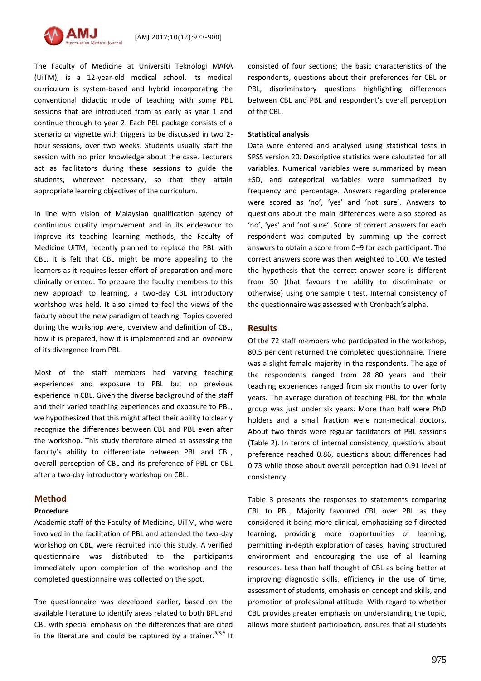

The Faculty of Medicine at Universiti Teknologi MARA (UiTM), is a 12-year-old medical school. Its medical curriculum is system-based and hybrid incorporating the conventional didactic mode of teaching with some PBL sessions that are introduced from as early as year 1 and continue through to year 2. Each PBL package consists of a scenario or vignette with triggers to be discussed in two 2 hour sessions, over two weeks. Students usually start the session with no prior knowledge about the case. Lecturers act as facilitators during these sessions to guide the students, wherever necessary, so that they attain appropriate learning objectives of the curriculum.

In line with vision of Malaysian qualification agency of continuous quality improvement and in its endeavour to improve its teaching learning methods, the Faculty of Medicine UiTM, recently planned to replace the PBL with CBL. It is felt that CBL might be more appealing to the learners as it requires lesser effort of preparation and more clinically oriented. To prepare the faculty members to this new approach to learning, a two-day CBL introductory workshop was held. It also aimed to feel the views of the faculty about the new paradigm of teaching. Topics covered during the workshop were, overview and definition of CBL, how it is prepared, how it is implemented and an overview of its divergence from PBL.

Most of the staff members had varying teaching experiences and exposure to PBL but no previous experience in CBL. Given the diverse background of the staff and their varied teaching experiences and exposure to PBL, we hypothesized that this might affect their ability to clearly recognize the differences between CBL and PBL even after the workshop. This study therefore aimed at assessing the faculty's ability to differentiate between PBL and CBL, overall perception of CBL and its preference of PBL or CBL after a two-day introductory workshop on CBL.

# **Method**

#### **Procedure**

Academic staff of the Faculty of Medicine, UiTM, who were involved in the facilitation of PBL and attended the two-day workshop on CBL, were recruited into this study. A verified questionnaire was distributed to the participants immediately upon completion of the workshop and the completed questionnaire was collected on the spot.

The questionnaire was developed earlier, based on the available literature to identify areas related to both BPL and CBL with special emphasis on the differences that are cited in the literature and could be captured by a trainer.  $5,8,9$  It consisted of four sections; the basic characteristics of the respondents, questions about their preferences for CBL or PBL, discriminatory questions highlighting differences between CBL and PBL and respondent's overall perception of the CBL.

#### **Statistical analysis**

Data were entered and analysed using statistical tests in SPSS version 20. Descriptive statistics were calculated for all variables. Numerical variables were summarized by mean ±SD, and categorical variables were summarized by frequency and percentage. Answers regarding preference were scored as 'no', 'yes' and 'not sure'. Answers to questions about the main differences were also scored as 'no', 'yes' and 'not sure'. Score of correct answers for each respondent was computed by summing up the correct answers to obtain a score from 0–9 for each participant. The correct answers score was then weighted to 100. We tested the hypothesis that the correct answer score is different from 50 (that favours the ability to discriminate or otherwise) using one sample t test. Internal consistency of the questionnaire was assessed with Cronbach's alpha.

#### **Results**

Of the 72 staff members who participated in the workshop, 80.5 per cent returned the completed questionnaire. There was a slight female majority in the respondents. The age of the respondents ranged from 28–80 years and their teaching experiences ranged from six months to over forty years. The average duration of teaching PBL for the whole group was just under six years. More than half were PhD holders and a small fraction were non-medical doctors. About two thirds were regular facilitators of PBL sessions (Table 2). In terms of internal consistency, questions about preference reached 0.86, questions about differences had 0.73 while those about overall perception had 0.91 level of consistency.

Table 3 presents the responses to statements comparing CBL to PBL. Majority favoured CBL over PBL as they considered it being more clinical, emphasizing self-directed learning, providing more opportunities of learning, permitting in-depth exploration of cases, having structured environment and encouraging the use of all learning resources. Less than half thought of CBL as being better at improving diagnostic skills, efficiency in the use of time, assessment of students, emphasis on concept and skills, and promotion of professional attitude. With regard to whether CBL provides greater emphasis on understanding the topic, allows more student participation, ensures that all students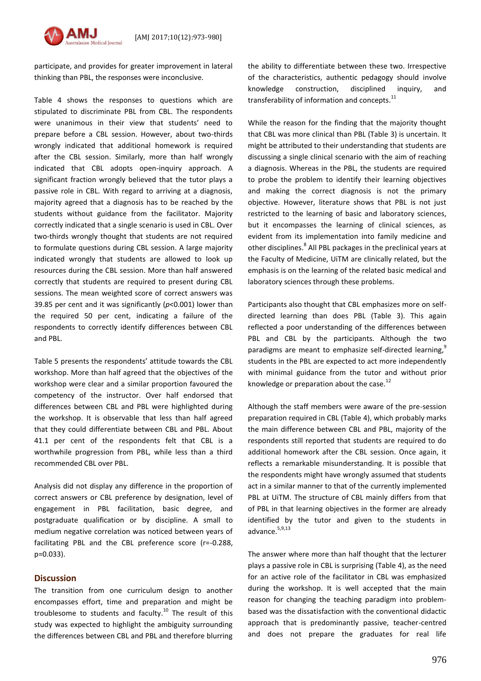

participate, and provides for greater improvement in lateral thinking than PBL, the responses were inconclusive.

Table 4 shows the responses to questions which are stipulated to discriminate PBL from CBL. The respondents were unanimous in their view that students' need to prepare before a CBL session. However, about two-thirds wrongly indicated that additional homework is required after the CBL session. Similarly, more than half wrongly indicated that CBL adopts open-inquiry approach. A significant fraction wrongly believed that the tutor plays a passive role in CBL. With regard to arriving at a diagnosis, majority agreed that a diagnosis has to be reached by the students without guidance from the facilitator. Majority correctly indicated that a single scenario is used in CBL. Over two-thirds wrongly thought that students are not required to formulate questions during CBL session. A large majority indicated wrongly that students are allowed to look up resources during the CBL session. More than half answered correctly that students are required to present during CBL sessions. The mean weighted score of correct answers was 39.85 per cent and it was significantly (*p*<0.001) lower than the required 50 per cent, indicating a failure of the respondents to correctly identify differences between CBL and PBL.

Table 5 presents the respondents' attitude towards the CBL workshop. More than half agreed that the objectives of the workshop were clear and a similar proportion favoured the competency of the instructor. Over half endorsed that differences between CBL and PBL were highlighted during the workshop. It is observable that less than half agreed that they could differentiate between CBL and PBL. About 41.1 per cent of the respondents felt that CBL is a worthwhile progression from PBL, while less than a third recommended CBL over PBL.

Analysis did not display any difference in the proportion of correct answers or CBL preference by designation, level of engagement in PBL facilitation, basic degree, and postgraduate qualification or by discipline. A small to medium negative correlation was noticed between years of facilitating PBL and the CBL preference score (r=-0.288, p=0.033).

### **Discussion**

The transition from one curriculum design to another encompasses effort, time and preparation and might be troublesome to students and faculty.<sup>10</sup> The result of this study was expected to highlight the ambiguity surrounding the differences between CBL and PBL and therefore blurring the ability to differentiate between these two. Irrespective of the characteristics, authentic pedagogy should involve knowledge construction, disciplined inquiry, and transferability of information and concepts.<sup>11</sup>

While the reason for the finding that the majority thought that CBL was more clinical than PBL (Table 3) is uncertain. It might be attributed to their understanding that students are discussing a single clinical scenario with the aim of reaching a diagnosis. Whereas in the PBL, the students are required to probe the problem to identify their learning objectives and making the correct diagnosis is not the primary objective. However, literature shows that PBL is not just restricted to the learning of basic and laboratory sciences, but it encompasses the learning of clinical sciences, as evident from its implementation into family medicine and other disciplines.<sup>8</sup> All PBL packages in the preclinical years at the Faculty of Medicine, UiTM are clinically related, but the emphasis is on the learning of the related basic medical and laboratory sciences through these problems.

Participants also thought that CBL emphasizes more on selfdirected learning than does PBL (Table 3). This again reflected a poor understanding of the differences between PBL and CBL by the participants. Although the two paradigms are meant to emphasize self-directed learning,<sup>9</sup> students in the PBL are expected to act more independently with minimal guidance from the tutor and without prior knowledge or preparation about the case. $^{12}$ 

Although the staff members were aware of the pre-session preparation required in CBL (Table 4), which probably marks the main difference between CBL and PBL, majority of the respondents still reported that students are required to do additional homework after the CBL session. Once again, it reflects a remarkable misunderstanding. It is possible that the respondents might have wrongly assumed that students act in a similar manner to that of the currently implemented PBL at UiTM. The structure of CBL mainly differs from that of PBL in that learning objectives in the former are already identified by the tutor and given to the students in advance. 5,9,13

The answer where more than half thought that the lecturer plays a passive role in CBL is surprising (Table 4), as the need for an active role of the facilitator in CBL was emphasized during the workshop. It is well accepted that the main reason for changing the teaching paradigm into problembased was the dissatisfaction with the conventional didactic approach that is predominantly passive, teacher-centred and does not prepare the graduates for real life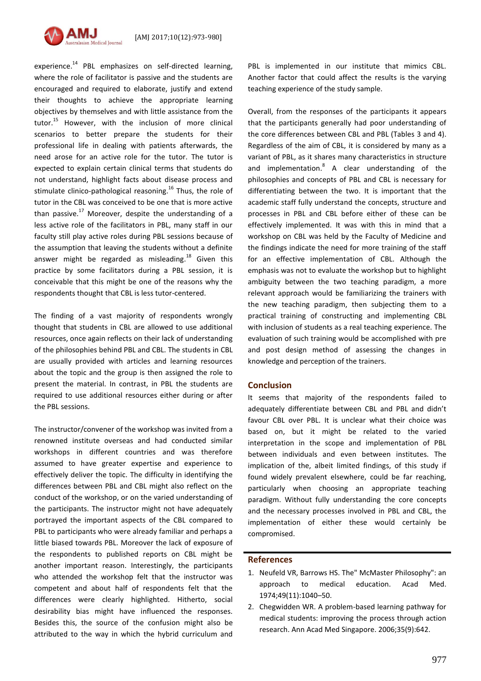

experience.<sup>14</sup> PBL emphasizes on self-directed learning, where the role of facilitator is passive and the students are encouraged and required to elaborate, justify and extend their thoughts to achieve the appropriate learning objectives by themselves and with little assistance from the tutor. <sup>15</sup> However, with the inclusion of more clinical scenarios to better prepare the students for their professional life in dealing with patients afterwards, the need arose for an active role for the tutor. The tutor is expected to explain certain clinical terms that students do not understand, highlight facts about disease process and stimulate clinico-pathological reasoning. <sup>16</sup> Thus, the role of tutor in the CBL was conceived to be one that is more active than passive.<sup>17</sup> Moreover, despite the understanding of a less active role of the facilitators in PBL, many staff in our faculty still play active roles during PBL sessions because of the assumption that leaving the students without a definite answer might be regarded as misleading.<sup>18</sup> Given this practice by some facilitators during a PBL session, it is conceivable that this might be one of the reasons why the respondents thought that CBL is less tutor-centered.

The finding of a vast majority of respondents wrongly thought that students in CBL are allowed to use additional resources, once again reflects on their lack of understanding of the philosophies behind PBL and CBL. The students in CBL are usually provided with articles and learning resources about the topic and the group is then assigned the role to present the material. In contrast, in PBL the students are required to use additional resources either during or after the PBL sessions.

The instructor/convener of the workshop was invited from a renowned institute overseas and had conducted similar workshops in different countries and was therefore assumed to have greater expertise and experience to effectively deliver the topic. The difficulty in identifying the differences between PBL and CBL might also reflect on the conduct of the workshop, or on the varied understanding of the participants. The instructor might not have adequately portrayed the important aspects of the CBL compared to PBL to participants who were already familiar and perhaps a little biased towards PBL. Moreover the lack of exposure of the respondents to published reports on CBL might be another important reason. Interestingly, the participants who attended the workshop felt that the instructor was competent and about half of respondents felt that the differences were clearly highlighted. Hitherto, social desirability bias might have influenced the responses. Besides this, the source of the confusion might also be attributed to the way in which the hybrid curriculum and PBL is implemented in our institute that mimics CBL. Another factor that could affect the results is the varying teaching experience of the study sample.

Overall, from the responses of the participants it appears that the participants generally had poor understanding of the core differences between CBL and PBL (Tables 3 and 4). Regardless of the aim of CBL, it is considered by many as a variant of PBL, as it shares many characteristics in structure and implementation.<sup>8</sup> A clear understanding of the philosophies and concepts of PBL and CBL is necessary for differentiating between the two. It is important that the academic staff fully understand the concepts, structure and processes in PBL and CBL before either of these can be effectively implemented. It was with this in mind that a workshop on CBL was held by the Faculty of Medicine and the findings indicate the need for more training of the staff for an effective implementation of CBL. Although the emphasis was not to evaluate the workshop but to highlight ambiguity between the two teaching paradigm, a more relevant approach would be familiarizing the trainers with the new teaching paradigm, then subjecting them to a practical training of constructing and implementing CBL with inclusion of students as a real teaching experience. The evaluation of such training would be accomplished with pre and post design method of assessing the changes in knowledge and perception of the trainers.

# **Conclusion**

It seems that majority of the respondents failed to adequately differentiate between CBL and PBL and didn't favour CBL over PBL. It is unclear what their choice was based on, but it might be related to the varied interpretation in the scope and implementation of PBL between individuals and even between institutes. The implication of the, albeit limited findings, of this study if found widely prevalent elsewhere, could be far reaching, particularly when choosing an appropriate teaching paradigm. Without fully understanding the core concepts and the necessary processes involved in PBL and CBL, the implementation of either these would certainly be compromised.

### **References**

- 1. Neufeld VR, Barrows HS. The" McMaster Philosophy": an approach to medical education. Acad Med. 1974;49(11):1040–50.
- 2. Chegwidden WR. A problem-based learning pathway for medical students: improving the process through action research. Ann Acad Med Singapore. 2006;35(9):642.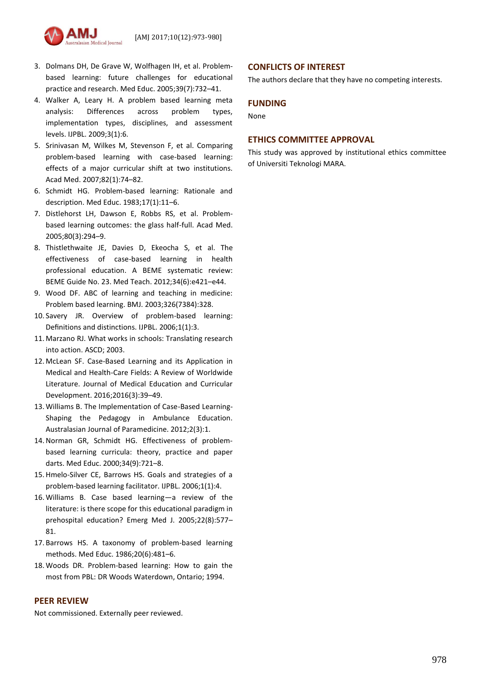

- 3. Dolmans DH, De Grave W, Wolfhagen IH, et al. Problem‐ based learning: future challenges for educational practice and research. Med Educ. 2005;39(7):732–41.
- 4. Walker A, Leary H. A problem based learning meta analysis: Differences across problem types, implementation types, disciplines, and assessment levels. IJPBL. 2009;3(1):6.
- 5. Srinivasan M, Wilkes M, Stevenson F, et al. Comparing problem-based learning with case-based learning: effects of a major curricular shift at two institutions. Acad Med. 2007;82(1):74–82.
- 6. Schmidt HG. Problem‐based learning: Rationale and description. Med Educ. 1983;17(1):11–6.
- 7. Distlehorst LH, Dawson E, Robbs RS, et al. Problembased learning outcomes: the glass half-full. Acad Med. 2005;80(3):294–9.
- 8. Thistlethwaite JE, Davies D, Ekeocha S, et al. The effectiveness of case-based learning in health professional education. A BEME systematic review: BEME Guide No. 23. Med Teach. 2012;34(6):e421–e44.
- 9. Wood DF. ABC of learning and teaching in medicine: Problem based learning. BMJ. 2003;326(7384):328.
- 10. Savery JR. Overview of problem-based learning: Definitions and distinctions. IJPBL. 2006;1(1):3.
- 11. Marzano RJ. What works in schools: Translating research into action. ASCD; 2003.
- 12. McLean SF. Case-Based Learning and its Application in Medical and Health-Care Fields: A Review of Worldwide Literature. Journal of Medical Education and Curricular Development. 2016;2016(3):39–49.
- 13. Williams B. The Implementation of Case-Based Learning-Shaping the Pedagogy in Ambulance Education. Australasian Journal of Paramedicine. 2012;2(3):1.
- 14.Norman GR, Schmidt HG. Effectiveness of problem‐ based learning curricula: theory, practice and paper darts. Med Educ. 2000;34(9):721–8.
- 15. Hmelo-Silver CE, Barrows HS. Goals and strategies of a problem-based learning facilitator. IJPBL. 2006;1(1):4.
- 16. Williams B. Case based learning—a review of the literature: is there scope for this educational paradigm in prehospital education? Emerg Med J. 2005;22(8):577– 81.
- 17. Barrows HS. A taxonomy of problem-based learning methods. Med Educ. 1986;20(6):481–6.
- 18. Woods DR. Problem-based learning: How to gain the most from PBL: DR Woods Waterdown, Ontario; 1994.

# **PEER REVIEW**

Not commissioned. Externally peer reviewed.

# **CONFLICTS OF INTEREST**

The authors declare that they have no competing interests.

# **FUNDING**

None

# **ETHICS COMMITTEE APPROVAL**

This study was approved by institutional ethics committee of Universiti Teknologi MARA.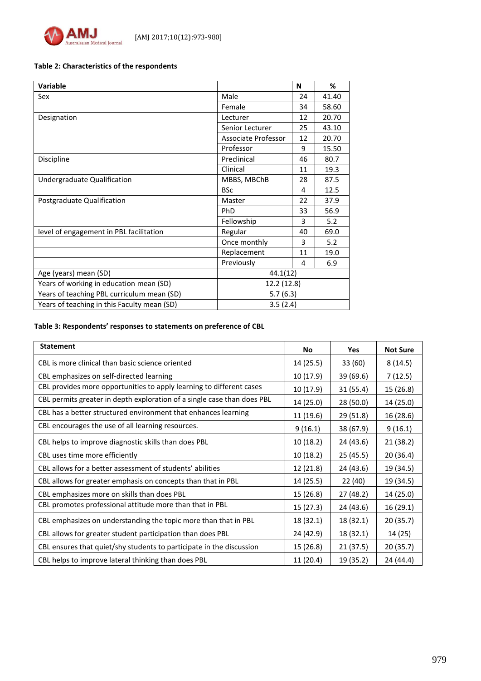

### **Table 2: Characteristics of the respondents**

| <b>Variable</b>                             |                     | N  | %     |
|---------------------------------------------|---------------------|----|-------|
| Sex                                         | Male                | 24 | 41.40 |
|                                             | Female              | 34 | 58.60 |
| Designation                                 | Lecturer            | 12 | 20.70 |
|                                             | Senior Lecturer     | 25 | 43.10 |
|                                             | Associate Professor | 12 | 20.70 |
|                                             | Professor           | 9  | 15.50 |
| Discipline                                  | Preclinical         | 46 | 80.7  |
|                                             | Clinical            | 11 | 19.3  |
| Undergraduate Qualification                 | MBBS, MBChB         | 28 | 87.5  |
|                                             | <b>BSc</b>          | 4  | 12.5  |
| Postgraduate Qualification                  | Master              | 22 | 37.9  |
|                                             | PhD                 | 33 | 56.9  |
|                                             | Fellowship          | 3  | 5.2   |
| level of engagement in PBL facilitation     | Regular             | 40 | 69.0  |
|                                             | Once monthly        | 3  | 5.2   |
|                                             | Replacement         | 11 | 19.0  |
|                                             | Previously          | 4  | 6.9   |
| Age (years) mean (SD)                       | 44.1(12)            |    |       |
| Years of working in education mean (SD)     | 12.2 (12.8)         |    |       |
| Years of teaching PBL curriculum mean (SD)  | 5.7(6.3)            |    |       |
| Years of teaching in this Faculty mean (SD) | 3.5(2.4)            |    |       |

# **Table 3: Respondents' responses to statements on preference of CBL**

| <b>Statement</b>                                                        | No        | Yes       | <b>Not Sure</b> |
|-------------------------------------------------------------------------|-----------|-----------|-----------------|
| CBL is more clinical than basic science oriented                        | 14 (25.5) | 33 (60)   | 8(14.5)         |
| CBL emphasizes on self-directed learning                                | 10(17.9)  | 39 (69.6) | 7(12.5)         |
| CBL provides more opportunities to apply learning to different cases    | 10 (17.9) | 31(55.4)  | 15 (26.8)       |
| CBL permits greater in depth exploration of a single case than does PBL | 14 (25.0) | 28 (50.0) | 14 (25.0)       |
| CBL has a better structured environment that enhances learning          | 11 (19.6) | 29 (51.8) | 16 (28.6)       |
| CBL encourages the use of all learning resources.                       | 9(16.1)   | 38 (67.9) | 9(16.1)         |
| CBL helps to improve diagnostic skills than does PBL                    | 10(18.2)  | 24 (43.6) | 21 (38.2)       |
| CBL uses time more efficiently                                          | 10 (18.2) | 25(45.5)  | 20 (36.4)       |
| CBL allows for a better assessment of students' abilities               | 12 (21.8) | 24 (43.6) | 19 (34.5)       |
| CBL allows for greater emphasis on concepts than that in PBL            | 14 (25.5) | 22 (40)   | 19 (34.5)       |
| CBL emphasizes more on skills than does PBL                             | 15 (26.8) | 27 (48.2) | 14 (25.0)       |
| CBL promotes professional attitude more than that in PBL                | 15(27.3)  | 24 (43.6) | 16(29.1)        |
| CBL emphasizes on understanding the topic more than that in PBL         | 18 (32.1) | 18 (32.1) | 20 (35.7)       |
| CBL allows for greater student participation than does PBL              | 24 (42.9) | 18 (32.1) | 14 (25)         |
| CBL ensures that quiet/shy students to participate in the discussion    | 15 (26.8) | 21(37.5)  | 20 (35.7)       |
| CBL helps to improve lateral thinking than does PBL                     | 11(20.4)  | 19 (35.2) | 24 (44.4)       |